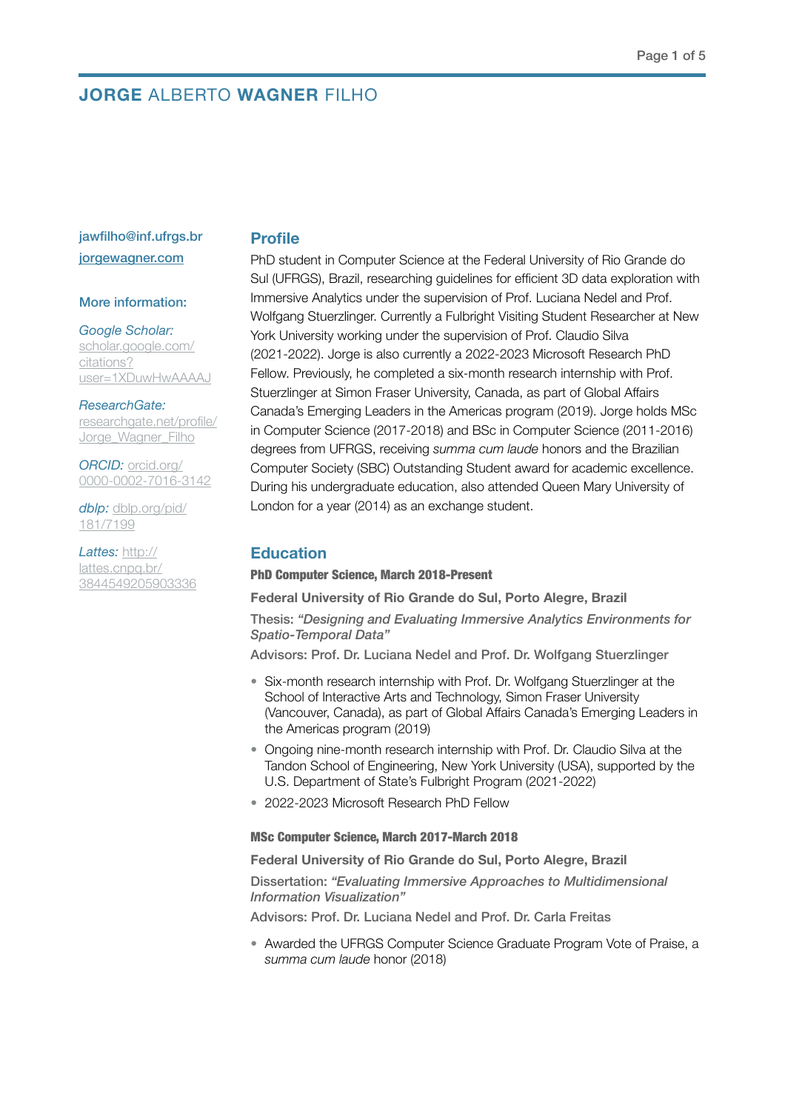# **JORGE** ALBERTO **WAGNER** FILHO

# jawfilho@inf.ufrgs.br [jorgewagner.com](http://jorgewagner.com)

# More information:

# *Google Scholar:*

[scholar.google.com/](https://scholar.google.com/citations?user=1XDuwHwAAAAJ) [citations?](https://scholar.google.com/citations?user=1XDuwHwAAAAJ) [user=1XDuwHwAAAAJ](https://scholar.google.com/citations?user=1XDuwHwAAAAJ)

*ResearchGate:* [researchgate.net/profile/](https://www.researchgate.net/profile/Jorge_Wagner_Filho) Jorge Wagner Filho

*ORCID:* [orcid.org/](https://orcid.org/0000-0002-7016-3142) [0000-0002-7016-3142](https://orcid.org/0000-0002-7016-3142)

*dblp:* [dblp.org/pid/](https://dblp.org/pid/181/7199) [181/7199](https://dblp.org/pid/181/7199)

*Lattes:* [http://](http://lattes.cnpq.br/3844549205903336) [lattes.cnpq.br/](http://lattes.cnpq.br/3844549205903336) [3844549205903336](http://lattes.cnpq.br/3844549205903336)

# **Profile**

PhD student in Computer Science at the Federal University of Rio Grande do Sul (UFRGS), Brazil, researching guidelines for efficient 3D data exploration with Immersive Analytics under the supervision of Prof. Luciana Nedel and Prof. Wolfgang Stuerzlinger. Currently a Fulbright Visiting Student Researcher at New York University working under the supervision of Prof. Claudio Silva (2021-2022). Jorge is also currently a 2022-2023 Microsoft Research PhD Fellow. Previously, he completed a six-month research internship with Prof. Stuerzlinger at Simon Fraser University, Canada, as part of Global Affairs Canada's Emerging Leaders in the Americas program (2019). Jorge holds MSc in Computer Science (2017-2018) and BSc in Computer Science (2011-2016) degrees from UFRGS, receiving *summa cum laude* honors and the Brazilian Computer Society (SBC) Outstanding Student award for academic excellence. During his undergraduate education, also attended Queen Mary University of London for a year (2014) as an exchange student.

# **Education**

#### PhD Computer Science, March 2018-Present

**Federal University of Rio Grande do Sul, Porto Alegre, Brazil** 

Thesis: *"Designing and Evaluating Immersive Analytics Environments for Spatio-Temporal Data"*

Advisors: Prof. Dr. Luciana Nedel and Prof. Dr. Wolfgang Stuerzlinger

- Six-month research internship with Prof. Dr. Wolfgang Stuerzlinger at the School of Interactive Arts and Technology, Simon Fraser University (Vancouver, Canada), as part of Global Affairs Canada's Emerging Leaders in the Americas program (2019)
- Ongoing nine-month research internship with Prof. Dr. Claudio Silva at the Tandon School of Engineering, New York University (USA), supported by the U.S. Department of State's Fulbright Program (2021-2022)
- 2022-2023 Microsoft Research PhD Fellow

## MSc Computer Science, March 2017-March 2018

#### **Federal University of Rio Grande do Sul, Porto Alegre, Brazil**

Dissertation: *"Evaluating Immersive Approaches to Multidimensional Information Visualization"*

Advisors: Prof. Dr. Luciana Nedel and Prof. Dr. Carla Freitas

• Awarded the UFRGS Computer Science Graduate Program Vote of Praise, a *summa cum laude* honor (2018)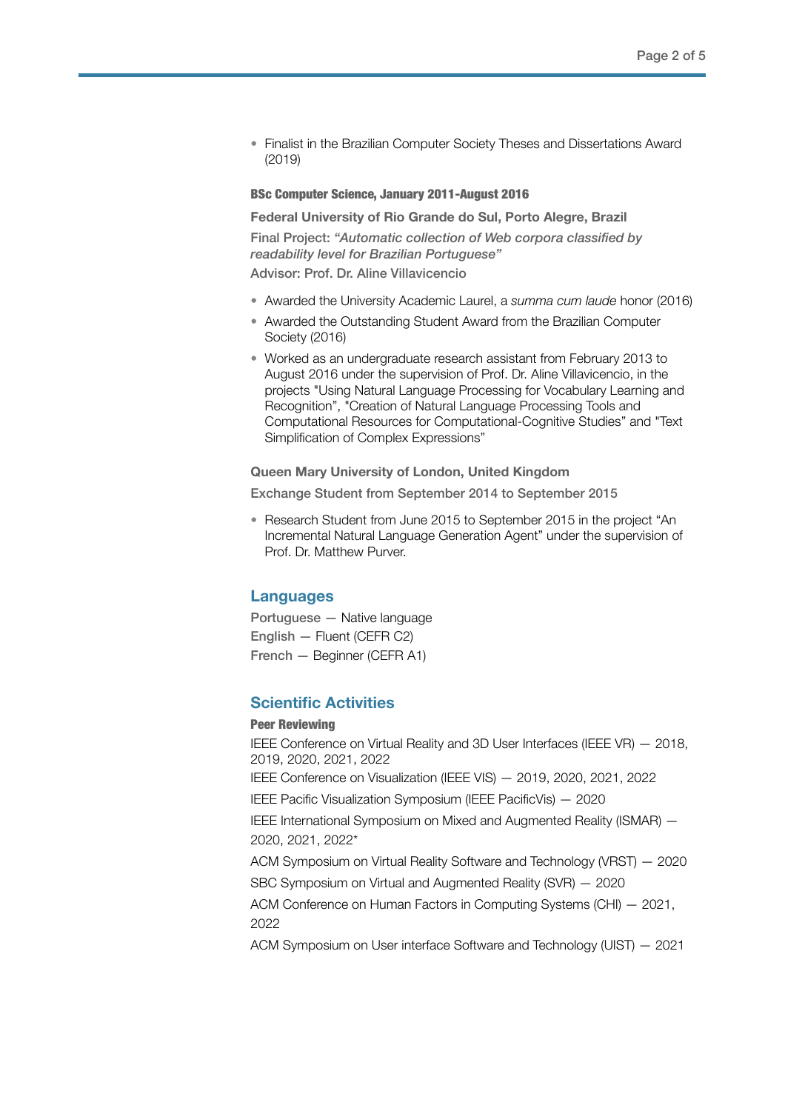• Finalist in the Brazilian Computer Society Theses and Dissertations Award (2019)

## BSc Computer Science, January 2011-August 2016

#### **Federal University of Rio Grande do Sul, Porto Alegre, Brazil**

Final Project: *"Automatic collection of Web corpora classified by readability level for Brazilian Portuguese"*

Advisor: Prof. Dr. Aline Villavicencio

- Awarded the University Academic Laurel, a *summa cum laude* honor (2016)
- Awarded the Outstanding Student Award from the Brazilian Computer Society (2016)
- Worked as an undergraduate research assistant from February 2013 to August 2016 under the supervision of Prof. Dr. Aline Villavicencio, in the projects "Using Natural Language Processing for Vocabulary Learning and Recognition", "Creation of Natural Language Processing Tools and Computational Resources for Computational-Cognitive Studies" and "Text Simplification of Complex Expressions"

### **Queen Mary University of London, United Kingdom**

Exchange Student from September 2014 to September 2015

• Research Student from June 2015 to September 2015 in the project "An Incremental Natural Language Generation Agent" under the supervision of Prof. Dr. Matthew Purver.

# **Languages**

Portuguese — Native language English — Fluent (CEFR C2) French — Beginner (CEFR A1)

# **Scientific Activities**

#### Peer Reviewing

IEEE Conference on Virtual Reality and 3D User Interfaces (IEEE VR) — 2018, 2019, 2020, 2021, 2022 IEEE Conference on Visualization (IEEE VIS) — 2019, 2020, 2021, 2022 IEEE Pacific Visualization Symposium (IEEE PacificVis) — 2020 IEEE International Symposium on Mixed and Augmented Reality (ISMAR) — 2020, 2021, 2022\* ACM Symposium on Virtual Reality Software and Technology (VRST) — 2020 SBC Symposium on Virtual and Augmented Reality (SVR) — 2020 ACM Conference on Human Factors in Computing Systems (CHI) — 2021, 2022

ACM Symposium on User interface Software and Technology (UIST) — 2021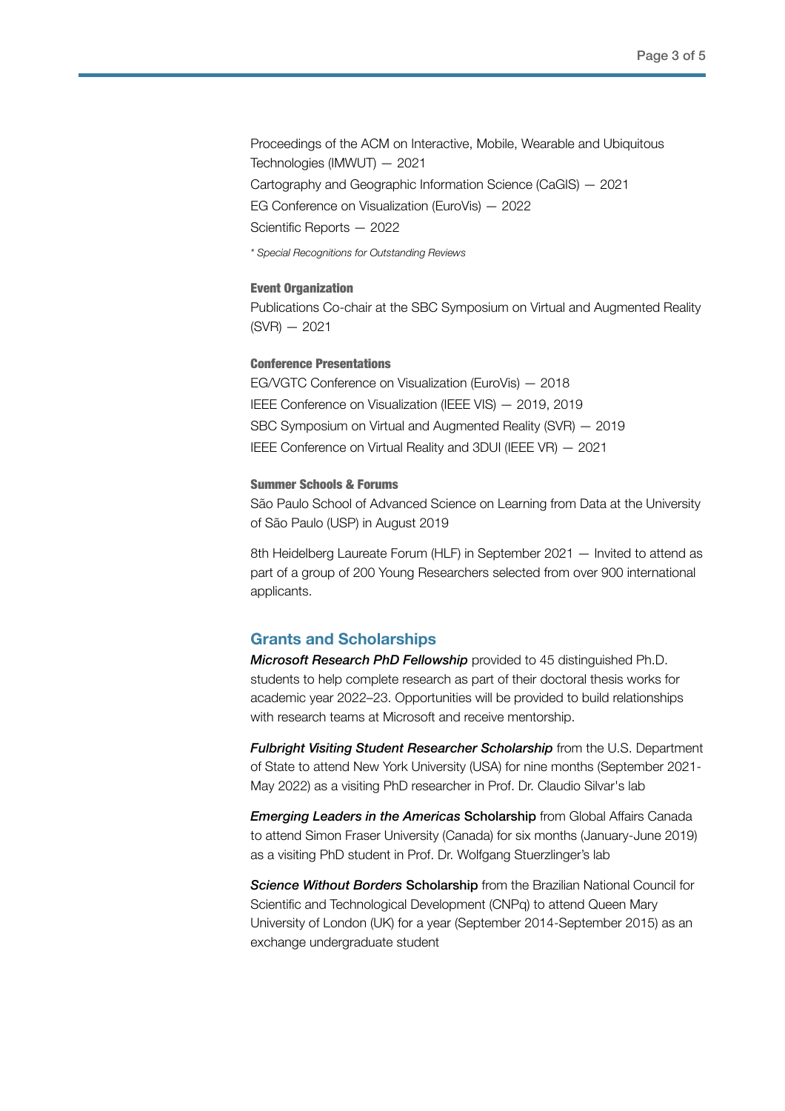Proceedings of the ACM on Interactive, Mobile, Wearable and Ubiquitous Technologies (IMWUT) — 2021 Cartography and Geographic Information Science (CaGIS) — 2021 EG Conference on Visualization (EuroVis) — 2022 Scientific Reports — 2022

*\* Special Recognitions for Outstanding Reviews*

#### Event Organization

Publications Co-chair at the SBC Symposium on Virtual and Augmented Reality  $(SVR) - 2021$ 

#### Conference Presentations

EG/VGTC Conference on Visualization (EuroVis) — 2018 IEEE Conference on Visualization (IEEE VIS) — 2019, 2019 SBC Symposium on Virtual and Augmented Reality (SVR) — 2019 IEEE Conference on Virtual Reality and 3DUI (IEEE VR) — 2021

### Summer Schools & Forums

São Paulo School of Advanced Science on Learning from Data at the University of São Paulo (USP) in August 2019

8th Heidelberg Laureate Forum (HLF) in September 2021 — Invited to attend as part of a group of 200 Young Researchers selected from over 900 international applicants.

## **Grants and Scholarships**

*Microsoft Research PhD Fellowship* provided to 45 distinguished Ph.D. students to help complete research as part of their doctoral thesis works for academic year 2022–23. Opportunities will be provided to build relationships with research teams at Microsoft and receive mentorship.

*Fulbright Visiting Student Researcher Scholarship* from the U.S. Department of State to attend New York University (USA) for nine months (September 2021- May 2022) as a visiting PhD researcher in Prof. Dr. Claudio Silvar's lab

*Emerging Leaders in the Americas* Scholarship from Global Affairs Canada to attend Simon Fraser University (Canada) for six months (January-June 2019) as a visiting PhD student in Prof. Dr. Wolfgang Stuerzlinger's lab

*Science Without Borders* Scholarship from the Brazilian National Council for Scientific and Technological Development (CNPq) to attend Queen Mary University of London (UK) for a year (September 2014-September 2015) as an exchange undergraduate student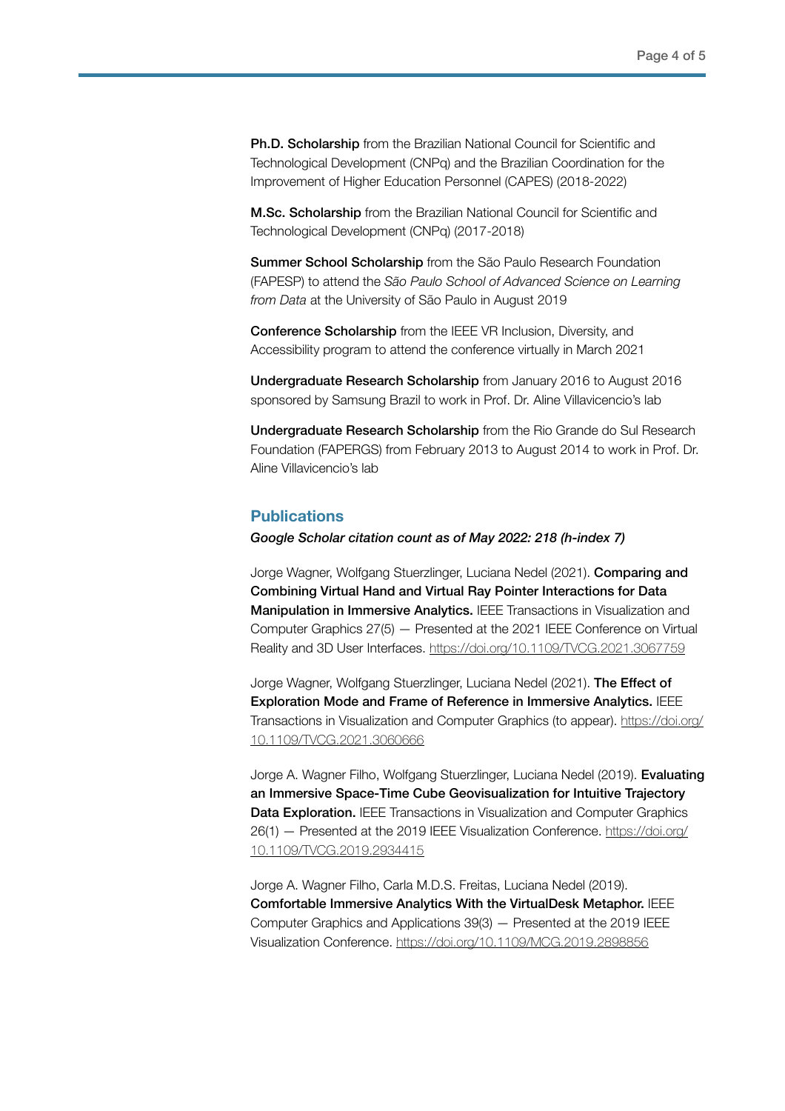**Ph.D. Scholarship** from the Brazilian National Council for Scientific and Technological Development (CNPq) and the Brazilian Coordination for the Improvement of Higher Education Personnel (CAPES) (2018-2022)

M.Sc. Scholarship from the Brazilian National Council for Scientific and Technological Development (CNPq) (2017-2018)

Summer School Scholarship from the São Paulo Research Foundation (FAPESP) to attend the *São Paulo School of Advanced Science on Learning from Data* at the University of São Paulo in August 2019

Conference Scholarship from the IEEE VR Inclusion, Diversity, and Accessibility program to attend the conference virtually in March 2021

Undergraduate Research Scholarship from January 2016 to August 2016 sponsored by Samsung Brazil to work in Prof. Dr. Aline Villavicencio's lab

Undergraduate Research Scholarship from the Rio Grande do Sul Research Foundation (FAPERGS) from February 2013 to August 2014 to work in Prof. Dr. Aline Villavicencio's lab

# **Publications**

*Google Scholar citation count as of May 2022: 218 (h-index 7)*

Jorge Wagner, Wolfgang Stuerzlinger, Luciana Nedel (2021). Comparing and Combining Virtual Hand and Virtual Ray Pointer Interactions for Data Manipulation in Immersive Analytics. IEEE Transactions in Visualization and Computer Graphics 27(5) — Presented at the 2021 IEEE Conference on Virtual Reality and 3D User Interfaces. <https://doi.org/10.1109/TVCG.2021.3067759>

Jorge Wagner, Wolfgang Stuerzlinger, Luciana Nedel (2021). The Effect of Exploration Mode and Frame of Reference in Immersive Analytics. IEEE Transactions in Visualization and Computer Graphics (to appear). [https://doi.org/](https://doi.org/10.1109/TVCG.2021.3060666) [10.1109/TVCG.2021.3060666](https://doi.org/10.1109/TVCG.2021.3060666)

Jorge A. Wagner Filho, Wolfgang Stuerzlinger, Luciana Nedel (2019). Evaluating an Immersive Space-Time Cube Geovisualization for Intuitive Trajectory Data Exploration. IEEE Transactions in Visualization and Computer Graphics 26(1) — Presented at the 2019 IEEE Visualization Conference. [https://doi.org/](https://doi.org/10.1109/TVCG.2019.2934415) [10.1109/TVCG.2019.2934415](https://doi.org/10.1109/TVCG.2019.2934415)

Jorge A. Wagner Filho, Carla M.D.S. Freitas, Luciana Nedel (2019). Comfortable Immersive Analytics With the VirtualDesk Metaphor. IEEE Computer Graphics and Applications 39(3) — Presented at the 2019 IEEE Visualization Conference. <https://doi.org/10.1109/MCG.2019.2898856>